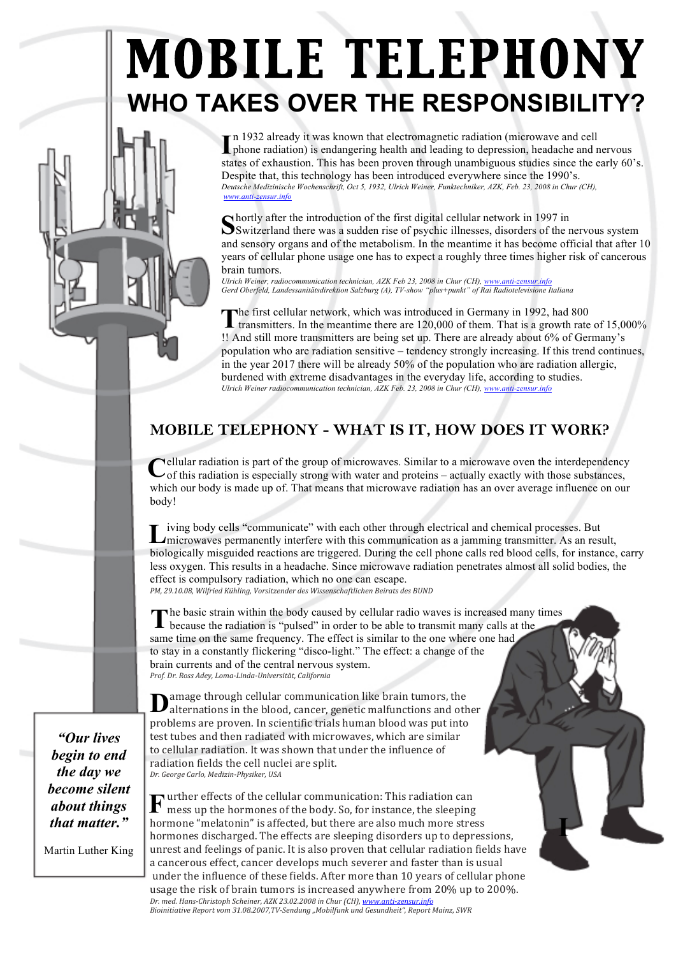# **MOBILE TELEPHONY** WHO TAKES OVER THE RESPONSIBILITY?

In 1932 already it was known that electromagnetic radiation (microwave and cell phone radiation) is endangering health and leading to depression, headache and nervous states of exhaustion. This has been proven through unambiguous studies since the early 60's. Despite that, this technology has been introduced everywhere since the 1990's. Deutsche Medizinische Wochenschrift, Oct 5, 1932, Ulrich Weiner, Funktechniker, AZK, Feb. 23, 2008 in Chur (CH),

Shortly after the introduction of the first digital cellular network in 1997 in<br>Switzerland there was a sudden rise of psychic illnesses, disorders of the nervous system and sensory organs and of the metabolism. In the meantime it has become official that after 10 years of cellular phone usage one has to expect a roughly three times higher risk of cancerous brain tumors.

Ulrich Weiner, radiocommunication technician, AZK Feb 23, 2008 in Chur (CH), www.anti-zensur.info Gerd Oberfeld, Landessanitätsdirektion Salzburg (A), TV-show "plus+punkt" of Rai Radiotelevisione Italiana

The first cellular network, which was introduced in Octonary in 1992, the set of 15,000%<br>transmitters. In the meantime there are 120,000 of them. That is a growth rate of 15,000% The first cellular network, which was introduced in Germany in 1992, had 800 !! And still more transmitters are being set up. There are already about 6% of Germany's population who are radiation sensitive - tendency strongly increasing. If this trend continues, in the year 2017 there will be already  $50\%$  of the population who are radiation allergic, burdened with extreme disadvantages in the everyday life, according to studies. Ulrich Weiner radiocommunication technician, AZK Feb. 23, 2008 in Chur (CH), www.anti-zensur.info

## MOBILE TELEPHONY - WHAT IS IT, HOW DOES IT WORK?

ellular radiation is part of the group of microwaves. Similar to a microwave oven the interdependency Cof this radiation is put of the group of the contract and proteins – actually exactly with those substances, which our body is made up of. That means that microwave radiation has an over average influence on our body!

iving body cells "communicate" with each other through electrical and chemical processes. But  $\Box$  microwaves permanently interfere with this communication as a jamming transmitter. As an result, biologically misguided reactions are triggered. During the cell phone calls red blood cells, for instance, carry less oxygen. This results in a headache. Since microwave radiation penetrates almost all solid bodies, the effect is compulsory radiation, which no one can escape. PM, 29.10.08, Wilfried Kühling, Vorsitzender des Wissenschaftlichen Beirats des BUND

he basic strain within the body caused by cellular radio waves is increased many times because the radiation is "pulsed" in order to be able to transmit many calls at the same time on the same frequency. The effect is similar to the one where one had to stay in a constantly flickering "disco-light." The effect: a change of the brain currents and of the central nervous system. Prof. Dr. Ross Adey, Loma-Linda-Universität, California

amage through cellular communication like brain tumors, the Dalternations in the blood, cancer, genetic malfunctions and other problems are proven. In scientific trials human blood was put into test tubes and then radiated with microwaves, which are similar to cellular radiation. It was shown that under the influence of radiation fields the cell nuclei are split. Dr. George Carlo, Medizin-Physiker, USA

 $\mathbf F$  urther effects of the cellular communication: This radiation can<br>mess up the hormones of the body. So, for instance, the sleeping hormone "melatonin" is affected, but there are also much more stress hormones discharged. The effects are sleeping disorders up to depressions, unrest and feelings of panic. It is also proven that cellular radiation fields have a cancerous effect, cancer develops much severer and faster than is usual under the influence of these fields. After more than 10 years of cellular phone usage the risk of brain tumors is increased anywhere from 20% up to 200%. Dr. med. Hans-Christoph Scheiner, AZK 23.02.2008 in Chur (CH), www.anti-zensur.info Bioinitiative Report vom 31.08.2007, TV-Sendung "Mobilfunk und Gesundheit", Report Mainz, SWR

"Our lives begin to end the day we become silent *about things* that matter."

Martin Luther King